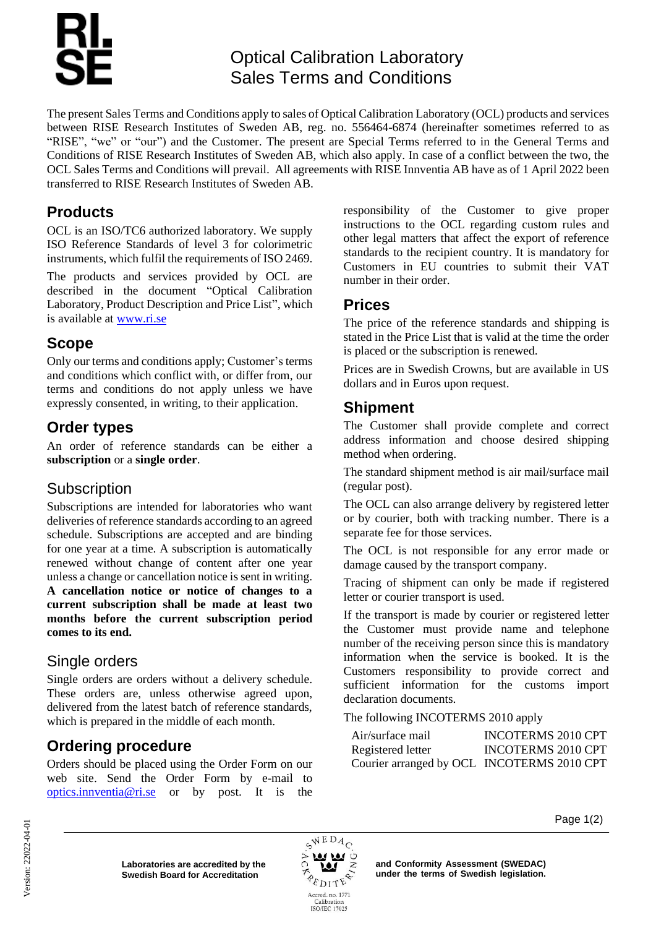# Optical Calibration Laboratory Sales Terms and Conditions

The present Sales Terms and Conditions apply to sales of Optical Calibration Laboratory (OCL) products and services between RISE Research Institutes of Sweden AB, reg. no. 556464-6874 (hereinafter sometimes referred to as "RISE", "we" or "our") and the Customer. The present are Special Terms referred to in the General Terms and Conditions of RISE Research Institutes of Sweden AB, which also apply. In case of a conflict between the two, the OCL Sales Terms and Conditions will prevail. All agreements with RISE Innventia AB have as of 1 April 2022 been transferred to RISE Research Institutes of Sweden AB.

# **Products**

OCL is an ISO/TC6 authorized laboratory. We supply ISO Reference Standards of level 3 for colorimetric instruments, which fulfil the requirements of ISO 2469.

The products and services provided by OCL are described in the document "Optical Calibration Laboratory, Product Description and Price List", which is available at [www.ri.se](http://www.ri.se/)

## **Scope**

Only our terms and conditions apply; Customer's terms and conditions which conflict with, or differ from, our terms and conditions do not apply unless we have expressly consented, in writing, to their application.

# **Order types**

An order of reference standards can be either a **subscription** or a **single order**.

# **Subscription**

Subscriptions are intended for laboratories who want deliveries of reference standards according to an agreed schedule. Subscriptions are accepted and are binding for one year at a time. A subscription is automatically renewed without change of content after one year unless a change or cancellation notice is sent in writing. **A cancellation notice or notice of changes to a current subscription shall be made at least two months before the current subscription period comes to its end.**

# Single orders

Single orders are orders without a delivery schedule. These orders are, unless otherwise agreed upon, delivered from the latest batch of reference standards, which is prepared in the middle of each month.

# **Ordering procedure**

Orders should be placed using the Order Form on our web site. Send the Order Form by e-mail to [optics.innventia@ri.se](mailto:optics.innventia@ri.se) or by post. It is the responsibility of the Customer to give proper instructions to the OCL regarding custom rules and other legal matters that affect the export of reference standards to the recipient country. It is mandatory for Customers in EU countries to submit their VAT number in their order.

# **Prices**

The price of the reference standards and shipping is stated in the Price List that is valid at the time the order is placed or the subscription is renewed.

Prices are in Swedish Crowns, but are available in US dollars and in Euros upon request.

## **Shipment**

The Customer shall provide complete and correct address information and choose desired shipping method when ordering.

The standard shipment method is air mail/surface mail (regular post).

The OCL can also arrange delivery by registered letter or by courier, both with tracking number. There is a separate fee for those services.

The OCL is not responsible for any error made or damage caused by the transport company.

Tracing of shipment can only be made if registered letter or courier transport is used.

If the transport is made by courier or registered letter the Customer must provide name and telephone number of the receiving person since this is mandatory information when the service is booked. It is the Customers responsibility to provide correct and sufficient information for the customs import declaration documents.

#### The following INCOTERMS 2010 apply

| Air/surface mail                           | <b>INCOTERMS 2010 CPT</b> |
|--------------------------------------------|---------------------------|
| Registered letter                          | <b>INCOTERMS 2010 CPT</b> |
| Courier arranged by OCL INCOTERMS 2010 CPT |                           |

**Laboratories are accredited by the Swedish Board for Accreditation** 



**and Conformity Assessment (SWEDAC) under the terms of Swedish legislation.**  Page 1(2)